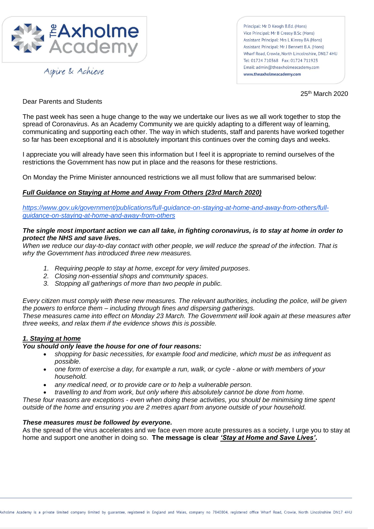

Aspire & Achieve

Principal: Mr D Keogh B.Ed. (Hons) Vice Principal: Mr B Creasy B.Sc (Hons) Assistant Principal: Mrs L Kinroy BA (Hons) Assistant Principal: Mr J Bennett B.A. (Hons) Wharf Road Crowle North Lincolnshire DN17 4HU Tel: 01724 710368 Fax: 01724 711923 Email: admin@theaxholmeacademy.com www.theaxholmeacademy.com

25th March 2020

Dear Parents and Students

The past week has seen a huge change to the way we undertake our lives as we all work together to stop the spread of Coronavirus. As an Academy Community we are quickly adapting to a different way of learning, communicating and supporting each other. The way in which students, staff and parents have worked together so far has been exceptional and it is absolutely important this continues over the coming days and weeks.

I appreciate you will already have seen this information but I feel it is appropriate to remind ourselves of the restrictions the Government has now put in place and the reasons for these restrictions.

On Monday the Prime Minister announced restrictions we all must follow that are summarised below:

# *Full Guidance on Staying at Home and Away From Others (23rd March 2020)*

*[https://www.gov.uk/government/publications/full-guidance-on-staying-at-home-and-away-from-others/full](https://www.gov.uk/government/publications/full-guidance-on-staying-at-home-and-away-from-others/full-guidance-on-staying-at-home-and-away-from-others)[guidance-on-staying-at-home-and-away-from-others](https://www.gov.uk/government/publications/full-guidance-on-staying-at-home-and-away-from-others/full-guidance-on-staying-at-home-and-away-from-others)*

# *The single most important action we can all take, in fighting coronavirus, is to stay at home in order to protect the NHS and save lives.*

*When we reduce our day-to-day contact with other people, we will reduce the spread of the infection. That is why the Government has introduced three new measures.*

- *1. Requiring people to stay at home, except for very limited purposes.*
- *2. Closing non-essential shops and community spaces.*
- *3. Stopping all gatherings of more than two people in public.*

*Every citizen must comply with these new measures. The relevant authorities, including the police, will be given the powers to enforce them – including through fines and dispersing gatherings.*

*These measures came into effect on Monday 23 March. The Government will look again at these measures after three weeks, and relax them if the evidence shows this is possible.*

# *1. Staying at home*

# *You should only leave the house for one of four reasons:*

- *shopping for basic necessities, for example food and medicine, which must be as infrequent as possible.*
- *one form of exercise a day, for example a run, walk, or cycle - alone or with members of your household.*
- *any medical need, or to provide care or to help a vulnerable person.*
- *travelling to and from work, but only where this absolutely cannot be done from home.*

*These four reasons are exceptions - even when doing these activities, you should be minimising time spent outside of the home and ensuring you are 2 metres apart from anyone outside of your household.*

# *These measures must be followed by everyone.*

As the spread of the virus accelerates and we face even more acute pressures as a society, I urge you to stay at home and support one another in doing so. **The message is clear** *'Stay at Home and Save Lives'***.**